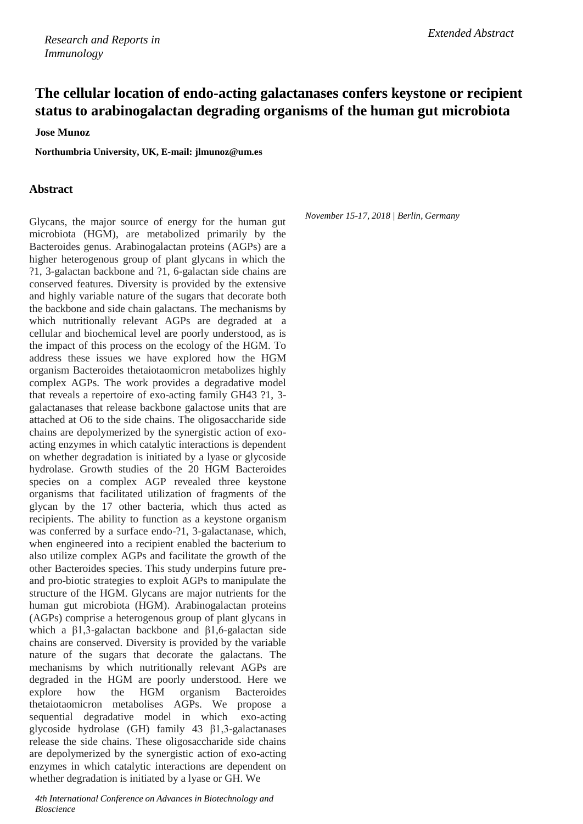## **The cellular location of endo-acting galactanases confers keystone or recipient status to arabinogalactan degrading organisms of the human gut microbiota**

**Jose Munoz**

**Northumbria University, UK, E-mail: [jlmunoz@um.es](mailto:jlmunoz@um.es)**

## **Abstract**

Glycans, the major source of energy for the human gut microbiota (HGM), are metabolized primarily by the Bacteroides genus. Arabinogalactan proteins (AGPs) are a higher heterogenous group of plant glycans in which the ?1, 3-galactan backbone and ?1, 6-galactan side chains are conserved features. Diversity is provided by the extensive and highly variable nature of the sugars that decorate both the backbone and side chain galactans. The mechanisms by which nutritionally relevant AGPs are degraded at a cellular and biochemical level are poorly understood, as is the impact of this process on the ecology of the HGM. To address these issues we have explored how the HGM organism Bacteroides thetaiotaomicron metabolizes highly complex AGPs. The work provides a degradative model that reveals a repertoire of exo-acting family GH43 ?1, 3 galactanases that release backbone galactose units that are attached at O6 to the side chains. The oligosaccharide side chains are depolymerized by the synergistic action of exoacting enzymes in which catalytic interactions is dependent on whether degradation is initiated by a lyase or glycoside hydrolase. Growth studies of the 20 HGM Bacteroides species on a complex AGP revealed three keystone organisms that facilitated utilization of fragments of the glycan by the 17 other bacteria, which thus acted as recipients. The ability to function as a keystone organism was conferred by a surface endo-?1, 3-galactanase, which, when engineered into a recipient enabled the bacterium to also utilize complex AGPs and facilitate the growth of the other Bacteroides species. This study underpins future preand pro-biotic strategies to exploit AGPs to manipulate the structure of the HGM. Glycans are major nutrients for the human gut microbiota (HGM). Arabinogalactan proteins (AGPs) comprise a heterogenous group of plant glycans in which a  $\beta$ 1,3-galactan backbone and  $\beta$ 1,6-galactan side chains are conserved. Diversity is provided by the variable nature of the sugars that decorate the galactans. The mechanisms by which nutritionally relevant AGPs are degraded in the HGM are poorly understood. Here we explore how the HGM organism Bacteroides thetaiotaomicron metabolises AGPs. We propose a sequential degradative model in which exo-acting glycoside hydrolase (GH) family 43 β1,3-galactanases release the side chains. These oligosaccharide side chains are depolymerized by the synergistic action of exo-acting enzymes in which catalytic interactions are dependent on whether degradation is initiated by a lyase or GH. We

*4th International Conference on Advances in Biotechnology and Bioscience*

*November 15-17, 2018 | Berlin, Germany*